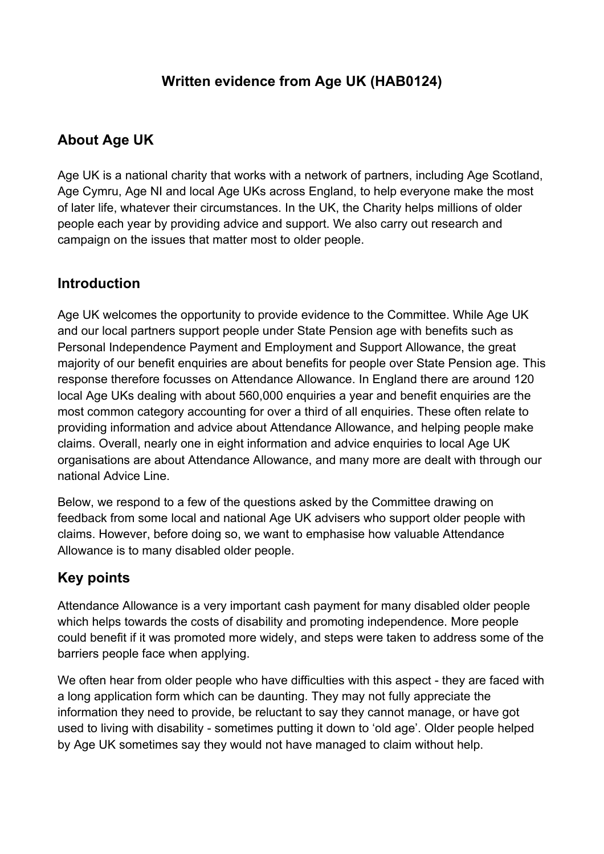## **Written evidence from Age UK (HAB0124)**

# **About Age UK**

Age UK is a national charity that works with a network of partners, including Age Scotland, Age Cymru, Age NI and local Age UKs across England, to help everyone make the most of later life, whatever their circumstances. In the UK, the Charity helps millions of older people each year by providing advice and support. We also carry out research and campaign on the issues that matter most to older people.

### **Introduction**

Age UK welcomes the opportunity to provide evidence to the Committee. While Age UK and our local partners support people under State Pension age with benefits such as Personal Independence Payment and Employment and Support Allowance, the great majority of our benefit enquiries are about benefits for people over State Pension age. This response therefore focusses on Attendance Allowance. In England there are around 120 local Age UKs dealing with about 560,000 enquiries a year and benefit enquiries are the most common category accounting for over a third of all enquiries. These often relate to providing information and advice about Attendance Allowance, and helping people make claims. Overall, nearly one in eight information and advice enquiries to local Age UK organisations are about Attendance Allowance, and many more are dealt with through our national Advice Line.

Below, we respond to a few of the questions asked by the Committee drawing on feedback from some local and national Age UK advisers who support older people with claims. However, before doing so, we want to emphasise how valuable Attendance Allowance is to many disabled older people.

## **Key points**

Attendance Allowance is a very important cash payment for many disabled older people which helps towards the costs of disability and promoting independence. More people could benefit if it was promoted more widely, and steps were taken to address some of the barriers people face when applying.

We often hear from older people who have difficulties with this aspect - they are faced with a long application form which can be daunting. They may not fully appreciate the information they need to provide, be reluctant to say they cannot manage, or have got used to living with disability - sometimes putting it down to 'old age'. Older people helped by Age UK sometimes say they would not have managed to claim without help.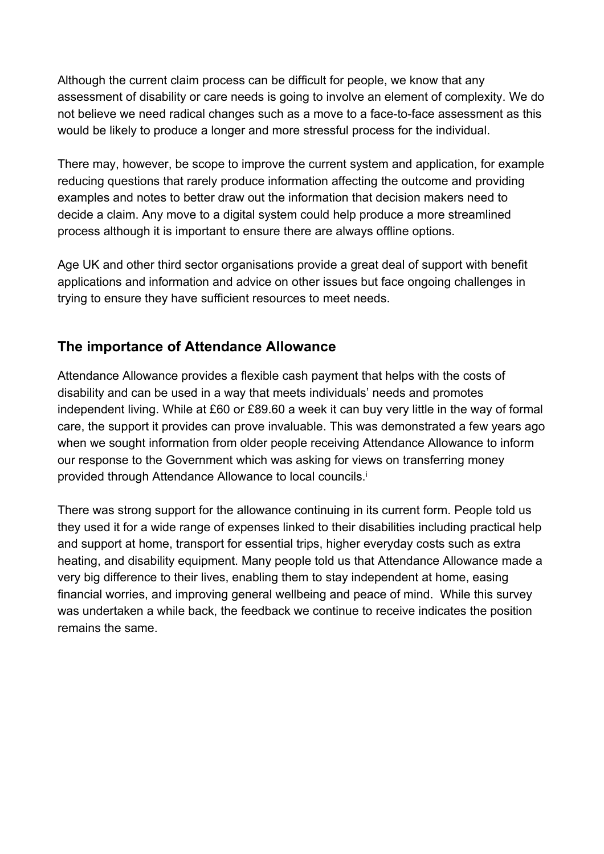Although the current claim process can be difficult for people, we know that any assessment of disability or care needs is going to involve an element of complexity. We do not believe we need radical changes such as a move to a face-to-face assessment as this would be likely to produce a longer and more stressful process for the individual.

There may, however, be scope to improve the current system and application, for example reducing questions that rarely produce information affecting the outcome and providing examples and notes to better draw out the information that decision makers need to decide a claim. Any move to a digital system could help produce a more streamlined process although it is important to ensure there are always offline options.

Age UK and other third sector organisations provide a great deal of support with benefit applications and information and advice on other issues but face ongoing challenges in trying to ensure they have sufficient resources to meet needs.

### **The importance of Attendance Allowance**

Attendance Allowance provides a flexible cash payment that helps with the costs of disability and can be used in a way that meets individuals' needs and promotes independent living. While at £60 or £89.60 a week it can buy very little in the way of formal care, the support it provides can prove invaluable. This was demonstrated a few years ago when we sought information from older people receiving Attendance Allowance to inform our response to the Government which was asking for views on transferring money provided through Attendance Allowance to local councils.<sup>i</sup>

There was strong support for the allowance continuing in its current form. People told us they used it for a wide range of expenses linked to their disabilities including practical help and support at home, transport for essential trips, higher everyday costs such as extra heating, and disability equipment. Many people told us that Attendance Allowance made a very big difference to their lives, enabling them to stay independent at home, easing financial worries, and improving general wellbeing and peace of mind. While this survey was undertaken a while back, the feedback we continue to receive indicates the position remains the same.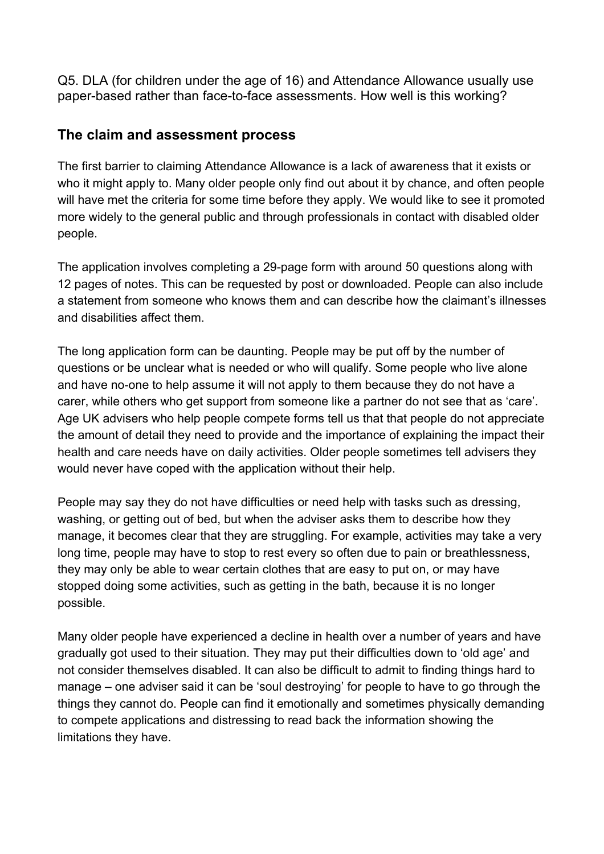Q5. DLA (for children under the age of 16) and Attendance Allowance usually use paper-based rather than face-to-face assessments. How well is this working?

### **The claim and assessment process**

The first barrier to claiming Attendance Allowance is a lack of awareness that it exists or who it might apply to. Many older people only find out about it by chance, and often people will have met the criteria for some time before they apply. We would like to see it promoted more widely to the general public and through professionals in contact with disabled older people.

The application involves completing a 29-page form with around 50 questions along with 12 pages of notes. This can be requested by post or downloaded. People can also include a statement from someone who knows them and can describe how the claimant's illnesses and disabilities affect them.

The long application form can be daunting. People may be put off by the number of questions or be unclear what is needed or who will qualify. Some people who live alone and have no-one to help assume it will not apply to them because they do not have a carer, while others who get support from someone like a partner do not see that as 'care'. Age UK advisers who help people compete forms tell us that that people do not appreciate the amount of detail they need to provide and the importance of explaining the impact their health and care needs have on daily activities. Older people sometimes tell advisers they would never have coped with the application without their help.

People may say they do not have difficulties or need help with tasks such as dressing, washing, or getting out of bed, but when the adviser asks them to describe how they manage, it becomes clear that they are struggling. For example, activities may take a very long time, people may have to stop to rest every so often due to pain or breathlessness, they may only be able to wear certain clothes that are easy to put on, or may have stopped doing some activities, such as getting in the bath, because it is no longer possible.

Many older people have experienced a decline in health over a number of years and have gradually got used to their situation. They may put their difficulties down to 'old age' and not consider themselves disabled. It can also be difficult to admit to finding things hard to manage – one adviser said it can be 'soul destroying' for people to have to go through the things they cannot do. People can find it emotionally and sometimes physically demanding to compete applications and distressing to read back the information showing the limitations they have.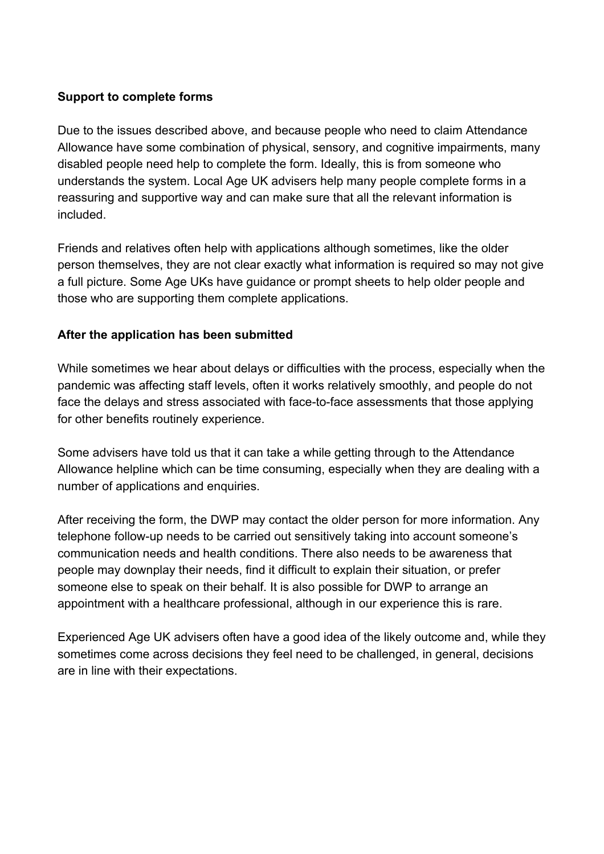#### **Support to complete forms**

Due to the issues described above, and because people who need to claim Attendance Allowance have some combination of physical, sensory, and cognitive impairments, many disabled people need help to complete the form. Ideally, this is from someone who understands the system. Local Age UK advisers help many people complete forms in a reassuring and supportive way and can make sure that all the relevant information is included.

Friends and relatives often help with applications although sometimes, like the older person themselves, they are not clear exactly what information is required so may not give a full picture. Some Age UKs have guidance or prompt sheets to help older people and those who are supporting them complete applications.

#### **After the application has been submitted**

While sometimes we hear about delays or difficulties with the process, especially when the pandemic was affecting staff levels, often it works relatively smoothly, and people do not face the delays and stress associated with face-to-face assessments that those applying for other benefits routinely experience.

Some advisers have told us that it can take a while getting through to the Attendance Allowance helpline which can be time consuming, especially when they are dealing with a number of applications and enquiries.

After receiving the form, the DWP may contact the older person for more information. Any telephone follow-up needs to be carried out sensitively taking into account someone's communication needs and health conditions. There also needs to be awareness that people may downplay their needs, find it difficult to explain their situation, or prefer someone else to speak on their behalf. It is also possible for DWP to arrange an appointment with a healthcare professional, although in our experience this is rare.

Experienced Age UK advisers often have a good idea of the likely outcome and, while they sometimes come across decisions they feel need to be challenged, in general, decisions are in line with their expectations.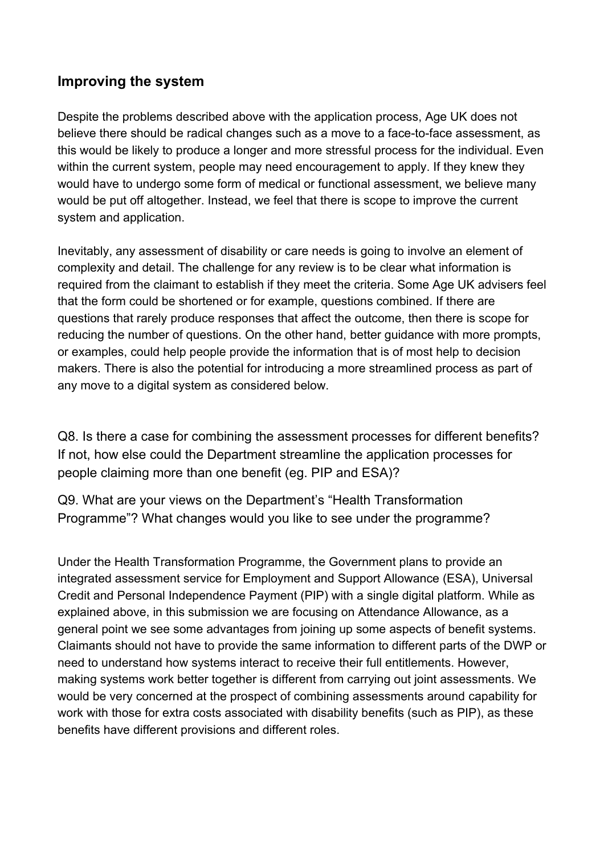### **Improving the system**

Despite the problems described above with the application process, Age UK does not believe there should be radical changes such as a move to a face-to-face assessment, as this would be likely to produce a longer and more stressful process for the individual. Even within the current system, people may need encouragement to apply. If they knew they would have to undergo some form of medical or functional assessment, we believe many would be put off altogether. Instead, we feel that there is scope to improve the current system and application.

Inevitably, any assessment of disability or care needs is going to involve an element of complexity and detail. The challenge for any review is to be clear what information is required from the claimant to establish if they meet the criteria. Some Age UK advisers feel that the form could be shortened or for example, questions combined. If there are questions that rarely produce responses that affect the outcome, then there is scope for reducing the number of questions. On the other hand, better guidance with more prompts, or examples, could help people provide the information that is of most help to decision makers. There is also the potential for introducing a more streamlined process as part of any move to a digital system as considered below.

Q8. Is there a case for combining the assessment processes for different benefits? If not, how else could the Department streamline the application processes for people claiming more than one benefit (eg. PIP and ESA)?

Q9. What are your views on the Department's "Health Transformation Programme"? What changes would you like to see under the programme?

Under the Health Transformation Programme, the Government plans to provide an integrated assessment service for Employment and Support Allowance (ESA), Universal Credit and Personal Independence Payment (PIP) with a single digital platform. While as explained above, in this submission we are focusing on Attendance Allowance, as a general point we see some advantages from joining up some aspects of benefit systems. Claimants should not have to provide the same information to different parts of the DWP or need to understand how systems interact to receive their full entitlements. However, making systems work better together is different from carrying out joint assessments. We would be very concerned at the prospect of combining assessments around capability for work with those for extra costs associated with disability benefits (such as PIP), as these benefits have different provisions and different roles.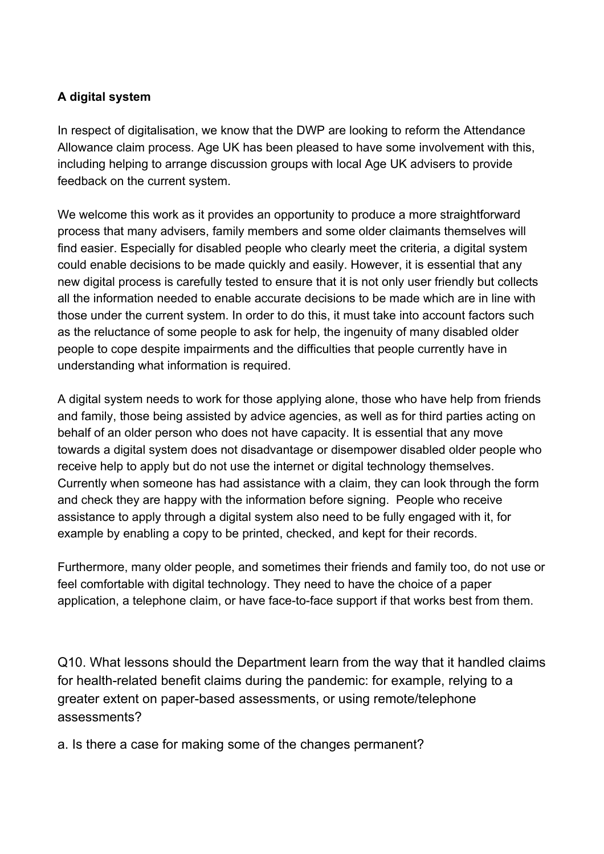#### **A digital system**

In respect of digitalisation, we know that the DWP are looking to reform the Attendance Allowance claim process. Age UK has been pleased to have some involvement with this, including helping to arrange discussion groups with local Age UK advisers to provide feedback on the current system.

We welcome this work as it provides an opportunity to produce a more straightforward process that many advisers, family members and some older claimants themselves will find easier. Especially for disabled people who clearly meet the criteria, a digital system could enable decisions to be made quickly and easily. However, it is essential that any new digital process is carefully tested to ensure that it is not only user friendly but collects all the information needed to enable accurate decisions to be made which are in line with those under the current system. In order to do this, it must take into account factors such as the reluctance of some people to ask for help, the ingenuity of many disabled older people to cope despite impairments and the difficulties that people currently have in understanding what information is required.

A digital system needs to work for those applying alone, those who have help from friends and family, those being assisted by advice agencies, as well as for third parties acting on behalf of an older person who does not have capacity. It is essential that any move towards a digital system does not disadvantage or disempower disabled older people who receive help to apply but do not use the internet or digital technology themselves. Currently when someone has had assistance with a claim, they can look through the form and check they are happy with the information before signing. People who receive assistance to apply through a digital system also need to be fully engaged with it, for example by enabling a copy to be printed, checked, and kept for their records.

Furthermore, many older people, and sometimes their friends and family too, do not use or feel comfortable with digital technology. They need to have the choice of a paper application, a telephone claim, or have face-to-face support if that works best from them.

Q10. What lessons should the Department learn from the way that it handled claims for health-related benefit claims during the pandemic: for example, relying to a greater extent on paper-based assessments, or using remote/telephone assessments?

a. Is there a case for making some of the changes permanent?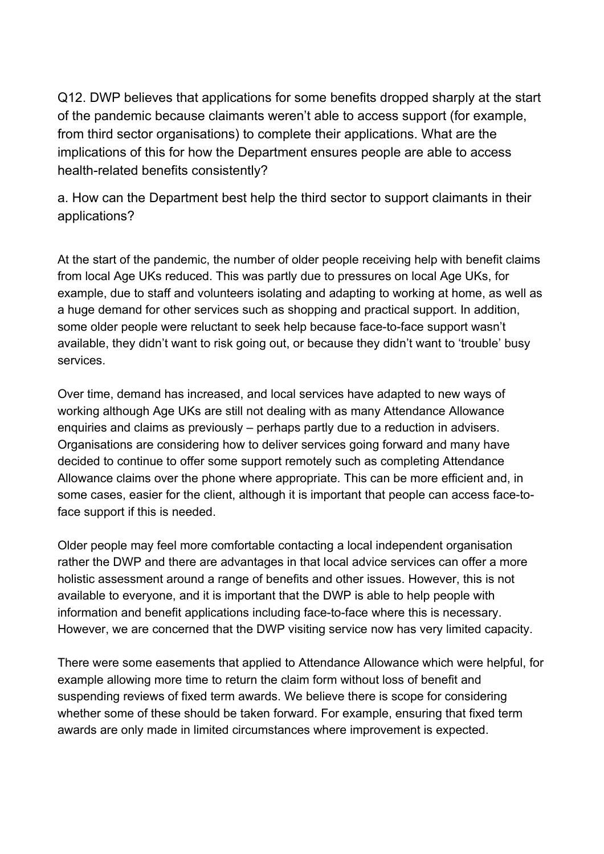Q12. DWP believes that applications for some benefits dropped sharply at the start of the pandemic because [claimants](https://publications.parliament.uk/pa/cm5801/cmselect/cmworpen/732/73202.htm) [weren't](https://publications.parliament.uk/pa/cm5801/cmselect/cmworpen/732/73202.htm) [able](https://publications.parliament.uk/pa/cm5801/cmselect/cmworpen/732/73202.htm) [to](https://publications.parliament.uk/pa/cm5801/cmselect/cmworpen/732/73202.htm) [access](https://publications.parliament.uk/pa/cm5801/cmselect/cmworpen/732/73202.htm) [support](https://publications.parliament.uk/pa/cm5801/cmselect/cmworpen/732/73202.htm) [\(for](https://publications.parliament.uk/pa/cm5801/cmselect/cmworpen/732/73202.htm) [example,](https://publications.parliament.uk/pa/cm5801/cmselect/cmworpen/732/73202.htm) [from](https://publications.parliament.uk/pa/cm5801/cmselect/cmworpen/732/73202.htm) [third](https://publications.parliament.uk/pa/cm5801/cmselect/cmworpen/732/73202.htm) [sector](https://publications.parliament.uk/pa/cm5801/cmselect/cmworpen/732/73202.htm) [organisations\)](https://publications.parliament.uk/pa/cm5801/cmselect/cmworpen/732/73202.htm) [to](https://publications.parliament.uk/pa/cm5801/cmselect/cmworpen/732/73202.htm) [complete](https://publications.parliament.uk/pa/cm5801/cmselect/cmworpen/732/73202.htm) [their](https://publications.parliament.uk/pa/cm5801/cmselect/cmworpen/732/73202.htm) [applications.](https://publications.parliament.uk/pa/cm5801/cmselect/cmworpen/732/73202.htm) What are the implications of this for how the Department ensures people are able to access health-related benefits consistently?

a. How can the Department best help the third sector to support claimants in their applications?

At the start of the pandemic, the number of older people receiving help with benefit claims from local Age UKs reduced. This was partly due to pressures on local Age UKs, for example, due to staff and volunteers isolating and adapting to working at home, as well as a huge demand for other services such as shopping and practical support. In addition, some older people were reluctant to seek help because face-to-face support wasn't available, they didn't want to risk going out, or because they didn't want to 'trouble' busy services.

Over time, demand has increased, and local services have adapted to new ways of working although Age UKs are still not dealing with as many Attendance Allowance enquiries and claims as previously – perhaps partly due to a reduction in advisers. Organisations are considering how to deliver services going forward and many have decided to continue to offer some support remotely such as completing Attendance Allowance claims over the phone where appropriate. This can be more efficient and, in some cases, easier for the client, although it is important that people can access face-toface support if this is needed.

Older people may feel more comfortable contacting a local independent organisation rather the DWP and there are advantages in that local advice services can offer a more holistic assessment around a range of benefits and other issues. However, this is not available to everyone, and it is important that the DWP is able to help people with information and benefit applications including face-to-face where this is necessary. However, we are concerned that the DWP visiting service now has very limited capacity.

There were some easements that applied to Attendance Allowance which were helpful, for example allowing more time to return the claim form without loss of benefit and suspending reviews of fixed term awards. We believe there is scope for considering whether some of these should be taken forward. For example, ensuring that fixed term awards are only made in limited circumstances where improvement is expected.